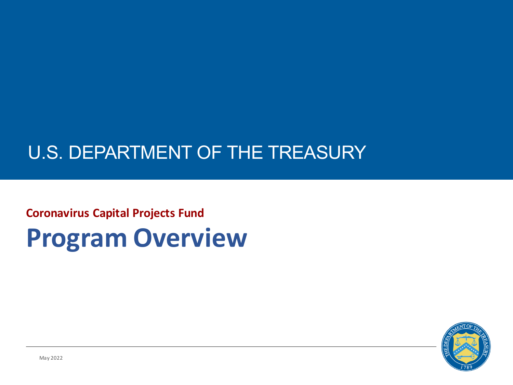## U.S. DEPARTMENT OF THE TREASURY

# **Coronavirus Capital Projects Fund Program Overview**

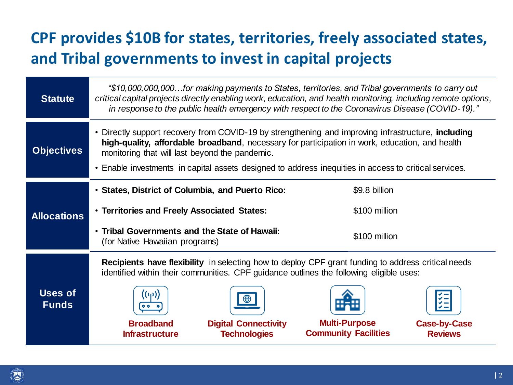### **CPF provides \$10B for states, territories, freely associated states, and Tribal governments to invest in capital projects**

| <b>Statute</b>                 | "\$10,000,000,000for making payments to States, territories, and Tribal governments to carry out<br>critical capital projects directly enabling work, education, and health monitoring, including remote options,<br>in response to the public health emergency with respect to the Coronavirus Disease (COVID-19)."                                            |                                                                                                                                                        |
|--------------------------------|-----------------------------------------------------------------------------------------------------------------------------------------------------------------------------------------------------------------------------------------------------------------------------------------------------------------------------------------------------------------|--------------------------------------------------------------------------------------------------------------------------------------------------------|
| <b>Objectives</b>              | • Directly support recovery from COVID-19 by strengthening and improving infrastructure, including<br>high-quality, affordable broadband, necessary for participation in work, education, and health<br>monitoring that will last beyond the pandemic.<br>• Enable investments in capital assets designed to address inequities in access to critical services. |                                                                                                                                                        |
| <b>Allocations</b>             | • States, District of Columbia, and Puerto Rico:<br>• Territories and Freely Associated States:<br>• Tribal Governments and the State of Hawaii:<br>(for Native Hawaiian programs)                                                                                                                                                                              | \$9.8 billion<br>\$100 million<br>\$100 million                                                                                                        |
| <b>Uses of</b><br><b>Funds</b> | <b>Recipients have flexibility</b> in selecting how to deploy CPF grant funding to address critical needs<br>identified within their communities. CPF guidance outlines the following eligible uses:<br><b>Broadband</b><br><b>Digital Connectivity</b><br><b>Technologies</b><br><b>Infrastructure</b>                                                         | $\checkmark$ $-$<br>$\checkmark$ $-$<br>$\checkmark =$<br><b>Multi-Purpose</b><br><b>Case-by-Case</b><br><b>Community Facilities</b><br><b>Reviews</b> |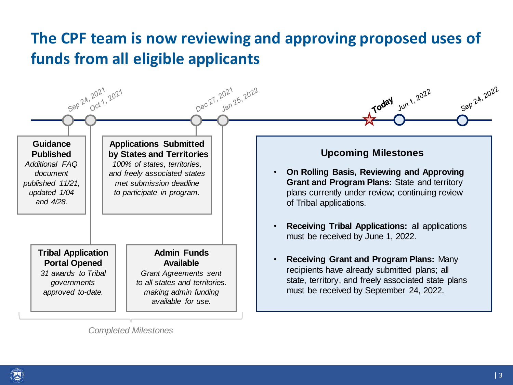#### **The CPF team is now reviewing and approving proposed uses of funds from all eligible applicants**



*Completed Milestones*